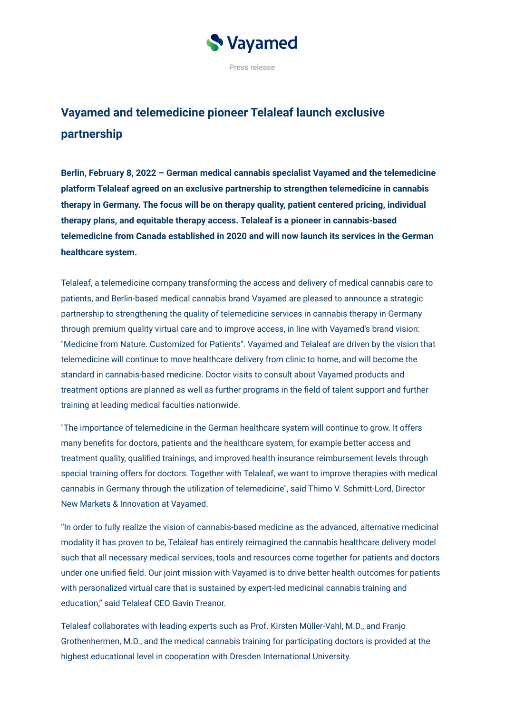

## **Vayamed and telemedicine pioneer Telaleaf launch exclusive partnership**

**Berlin, February 8, 2022 – German medical cannabis specialist Vayamed and the telemedicine platform Telaleaf agreed on an exclusive partnership to strengthen telemedicine in cannabis therapy in Germany. The focus will be on therapy quality, patient centered pricing, individual therapy plans, and equitable therapy access. Telaleaf is a pioneer in cannabis-based telemedicine from Canada established in 2020 and will now launch its services in the German healthcare system.**

Telaleaf, a telemedicine company transforming the access and delivery of medical cannabis care to patients, and Berlin-based medical cannabis brand Vayamed are pleased to announce a strategic partnership to strengthening the quality of telemedicine services in cannabis therapy in Germany through premium quality virtual care and to improve access, in line with Vayamed's brand vision: "Medicine from Nature. Customized for Patients". Vayamed and Telaleaf are driven by the vision that telemedicine will continue to move healthcare delivery from clinic to home, and will become the standard in cannabis-based medicine. Doctor visits to consult about Vayamed products and treatment options are planned as well as further programs in the field of talent support and further training at leading medical faculties nationwide.

"The importance of telemedicine in the German healthcare system will continue to grow. It offers many benefits for doctors, patients and the healthcare system, for example better access and treatment quality, qualified trainings, and improved health insurance reimbursement levels through special training offers for doctors. Together with Telaleaf, we want to improve therapies with medical cannabis in Germany through the utilization of telemedicine", said Thimo V. Schmitt-Lord, Director New Markets & Innovation at Vayamed.

"In order to fully realize the vision of cannabis-based medicine as the advanced, alternative medicinal modality it has proven to be, Telaleaf has entirely reimagined the cannabis healthcare delivery model such that all necessary medical services, tools and resources come together for patients and doctors under one unified field. Our joint mission with Vayamed is to drive better health outcomes for patients with personalized virtual care that is sustained by expert-led medicinal cannabis training and education," said Telaleaf CEO Gavin Treanor.

Telaleaf collaborates with leading experts such as Prof. Kirsten Müller-Vahl, M.D., and Franjo Grothenhermen, M.D., and the medical cannabis training for participating doctors is provided at the highest educational level in cooperation with Dresden International University.